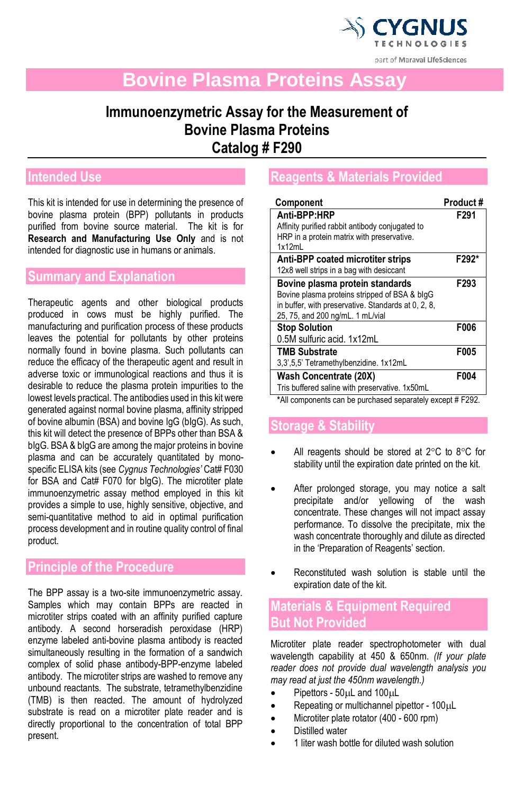

# **Bovine Plasma Proteins A**

# **Immunoenzymetric Assay for the Measurement of Bovine Plasma Proteins Catalog # F290**

## **Intended Use**

This kit is intended for use in determining the presence of bovine plasma protein (BPP) pollutants in products purified from bovine source material*.* The kit is for **Research and Manufacturing Use Only** and is not intended for diagnostic use in humans or animals.

#### **Summary and Explanation**

Therapeutic agents and other biological products produced in cows must be highly purified. The manufacturing and purification process of these products leaves the potential for pollutants by other proteins normally found in bovine plasma*.* Such pollutants can reduce the efficacy of the therapeutic agent and result in adverse toxic or immunological reactions and thus it is desirable to reduce the plasma protein impurities to the lowest levels practical. The antibodies used in this kit were generated against normal bovine plasma, affinity stripped of bovine albumin (BSA) and bovine IgG (bIgG). As such, this kit will detect the presence of BPPs other than BSA & bIgG. BSA & bIgG are among the major proteins in bovine plasma and can be accurately quantitated by monospecific ELISA kits (see *Cygnus Technologies'* Cat# F030 for BSA and Cat# F070 for blgG). The microtiter plate immunoenzymetric assay method employed in this kit provides a simple to use, highly sensitive, objective, and semi-quantitative method to aid in optimal purification process development and in routine quality control of final product.

#### **Principle of the Procedure**

The BPP assay is a two-site immunoenzymetric assay. Samples which may contain BPPs are reacted in microtiter strips coated with an affinity purified capture antibody. A second horseradish peroxidase (HRP) enzyme labeled anti-bovine plasma antibody is reacted simultaneously resulting in the formation of a sandwich complex of solid phase antibody-BPP-enzyme labeled antibody. The microtiter strips are washed to remove any unbound reactants. The substrate, tetramethylbenzidine (TMB) is then reacted. The amount of hydrolyzed substrate is read on a microtiter plate reader and is directly proportional to the concentration of total BPP present.

# **Reagents & Materials Provided**

| Component                                           | Product#         |
|-----------------------------------------------------|------------------|
| Anti-BPP:HRP                                        | F <sub>291</sub> |
| Affinity purified rabbit antibody conjugated to     |                  |
| HRP in a protein matrix with preservative.          |                  |
| 1x12mL                                              |                  |
| Anti-BPP coated microtiter strips                   | F292*            |
| 12x8 well strips in a bag with desiccant            |                  |
| Bovine plasma protein standards                     | F293             |
| Bovine plasma proteins stripped of BSA & blgG       |                  |
| in buffer, with preservative. Standards at 0, 2, 8, |                  |
| 25, 75, and 200 ng/mL. 1 mL/vial                    |                  |
| <b>Stop Solution</b>                                | F006             |
| 0.5M sulfuric acid. 1x12mL                          |                  |
| <b>TMB Substrate</b>                                | F005             |
| 3,3',5,5' Tetramethylbenzidine. 1x12mL              |                  |
| <b>Wash Concentrate (20X)</b>                       | F004             |
| Tris buffered saline with preservative. 1x50mL      |                  |

**\***All components can be purchased separately except # F292.

#### **Storage & Stabilit**

- All reagents should be stored at  $2^{\circ}$ C to  $8^{\circ}$ C for stability until the expiration date printed on the kit.
- After prolonged storage, you may notice a salt precipitate and/or yellowing of the wash concentrate. These changes will not impact assay performance. To dissolve the precipitate, mix the wash concentrate thoroughly and dilute as directed in the 'Preparation of Reagents' section.
- Reconstituted wash solution is stable until the expiration date of the kit.

### **Materials & Equipment Required But Not Provided**

Microtiter plate reader spectrophotometer with dual wavelength capability at 450 & 650nm. *(If your plate reader does not provide dual wavelength analysis you may read at just the 450nm wavelength.)*

- $\bullet$  Pipettors 50 $\mu$ L and 100 $\mu$ L
- $\bullet$  Repeating or multichannel pipettor 100 $\mu$ L
- Microtiter plate rotator (400 600 rpm)
- Distilled water
- 1 liter wash bottle for diluted wash solution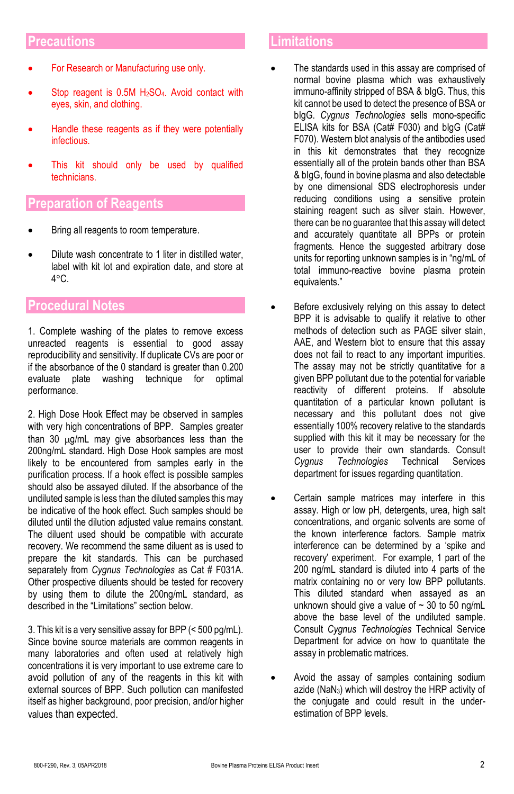### **Precautions**

- For Research or Manufacturing use only.
- Stop reagent is 0.5M H<sub>2</sub>SO<sub>4</sub>. Avoid contact with eyes, skin, and clothing.
- Handle these reagents as if they were potentially infectious.
- This kit should only be used by qualified technicians.

#### **Preparation of Reagents**

- Bring all reagents to room temperature.
- Dilute wash concentrate to 1 liter in distilled water. label with kit lot and expiration date, and store at  $4^{\circ}$ C.

# **Procedural Notes**

1. Complete washing of the plates to remove excess unreacted reagents is essential to good assay reproducibility and sensitivity. If duplicate CVs are poor or if the absorbance of the 0 standard is greater than 0.200 evaluate plate washing technique for optimal performance.

2. High Dose Hook Effect may be observed in samples with very high concentrations of BPP. Samples greater than 30  $\mu$ g/mL may give absorbances less than the 200ng/mL standard. High Dose Hook samples are most likely to be encountered from samples early in the purification process. If a hook effect is possible samples should also be assayed diluted. If the absorbance of the undiluted sample is less than the diluted samples this may be indicative of the hook effect. Such samples should be diluted until the dilution adjusted value remains constant. The diluent used should be compatible with accurate recovery. We recommend the same diluent as is used to prepare the kit standards. This can be purchased separately from *Cygnus Technologies* as Cat # F031A. Other prospective diluents should be tested for recovery by using them to dilute the 200ng/mL standard, as described in the "Limitations" section below.

3. This kit is a very sensitive assay for BPP (< 500 pg/mL). Since bovine source materials are common reagents in many laboratories and often used at relatively high concentrations it is very important to use extreme care to avoid pollution of any of the reagents in this kit with external sources of BPP. Such pollution can manifested itself as higher background, poor precision, and/or higher values than expected.

# **Limitations**

- The standards used in this assay are comprised of normal bovine plasma which was exhaustively immuno-affinity stripped of BSA & bIgG. Thus, this kit cannot be used to detect the presence of BSA or bIgG. *Cygnus Technologies* sells mono-specific ELISA kits for BSA (Cat# F030) and blgG (Cat# F070). Western blot analysis of the antibodies used in this kit demonstrates that they recognize essentially all of the protein bands other than BSA & bIgG, found in bovine plasma and also detectable by one dimensional SDS electrophoresis under reducing conditions using a sensitive protein staining reagent such as silver stain. However, there can be no guarantee that this assay will detect and accurately quantitate all BPPs or protein fragments*.* Hence the suggested arbitrary dose units for reporting unknown samples is in "ng/mL of total immuno-reactive bovine plasma protein equivalents."
- Before exclusively relying on this assay to detect BPP it is advisable to qualify it relative to other methods of detection such as PAGE silver stain, AAE, and Western blot to ensure that this assay does not fail to react to any important impurities. The assay may not be strictly quantitative for a given BPP pollutant due to the potential for variable reactivity of different proteins. If absolute quantitation of a particular known pollutant is necessary and this pollutant does not give essentially 100% recovery relative to the standards supplied with this kit it may be necessary for the user to provide their own standards. Consult *Cygnus Technologies* Technical Services department for issues regarding quantitation.
- Certain sample matrices may interfere in this assay. High or low pH, detergents, urea, high salt concentrations, and organic solvents are some of the known interference factors. Sample matrix interference can be determined by a 'spike and recovery' experiment. For example, 1 part of the 200 ng/mL standard is diluted into 4 parts of the matrix containing no or very low BPP pollutants. This diluted standard when assayed as an unknown should give a value of  $\sim$  30 to 50 ng/mL above the base level of the undiluted sample. Consult *Cygnus Technologies* Technical Service Department for advice on how to quantitate the assay in problematic matrices.
- Avoid the assay of samples containing sodium azide (NaN3) which will destroy the HRP activity of the conjugate and could result in the underestimation of BPP levels.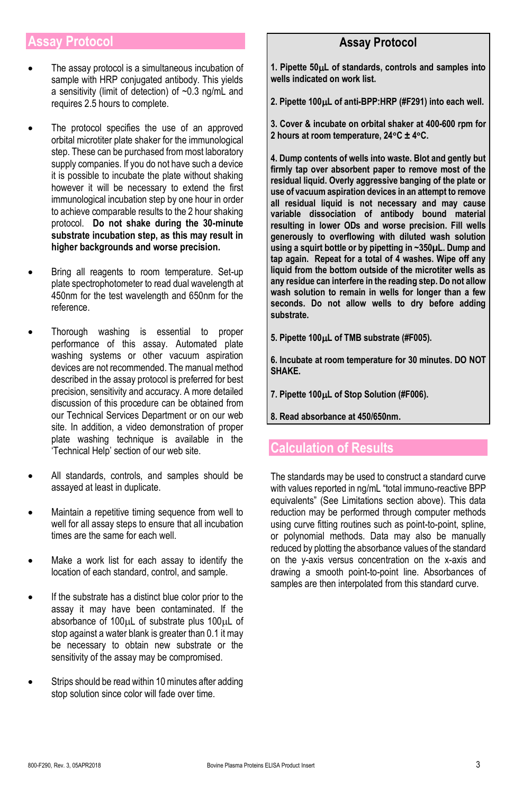### **Assay Protocol**

- The assay protocol is a simultaneous incubation of sample with HRP conjugated antibody. This yields a sensitivity (limit of detection) of ~0.3 ng/mL and requires 2.5 hours to complete.
- The protocol specifies the use of an approved orbital microtiter plate shaker for the immunological step. These can be purchased from most laboratory supply companies. If you do not have such a device it is possible to incubate the plate without shaking however it will be necessary to extend the first immunological incubation step by one hour in order to achieve comparable results to the 2 hour shaking protocol. **Do not shake during the 30-minute substrate incubation step, as this may result in higher backgrounds and worse precision.**
- Bring all reagents to room temperature. Set-up plate spectrophotometer to read dual wavelength at 450nm for the test wavelength and 650nm for the reference.
- Thorough washing is essential to proper performance of this assay. Automated plate washing systems or other vacuum aspiration devices are not recommended. The manual method described in the assay protocol is preferred for best precision, sensitivity and accuracy. A more detailed discussion of this procedure can be obtained from our Technical Services Department or on our web site. In addition, a video demonstration of proper plate washing technique is available in the 'Technical Help' section of our web site.
- All standards, controls, and samples should be assayed at least in duplicate.
- Maintain a repetitive timing sequence from well to well for all assay steps to ensure that all incubation times are the same for each well.
- Make a work list for each assay to identify the location of each standard, control, and sample.
- If the substrate has a distinct blue color prior to the assay it may have been contaminated. If the absorbance of 100uL of substrate plus 100uL of stop against a water blank is greater than 0.1 it may be necessary to obtain new substrate or the sensitivity of the assay may be compromised.
- Strips should be read within 10 minutes after adding stop solution since color will fade over time.

### **Assay Protocol**

**1. Pipette 50L of standards, controls and samples into wells indicated on work list.**

**2. Pipette 100L of anti-BPP:HRP (#F291) into each well.**

**3. Cover & incubate on orbital shaker at 400-600 rpm for 2 hours at room temperature, 24C ± 4C.**

**4. Dump contents of wells into waste. Blot and gently but firmly tap over absorbent paper to remove most of the residual liquid. Overly aggressive banging of the plate or use of vacuum aspiration devices in an attempt to remove all residual liquid is not necessary and may cause variable dissociation of antibody bound material resulting in lower ODs and worse precision. Fill wells generously to overflowing with diluted wash solution using a squirt bottle or by pipetting in ~350µL. Dump and tap again. Repeat for a total of 4 washes. Wipe off any liquid from the bottom outside of the microtiter wells as any residue can interfere in the reading step. Do not allow wash solution to remain in wells for longer than a few seconds. Do not allow wells to dry before adding substrate.**

**5. Pipette 100L of TMB substrate (#F005).** 

**6. Incubate at room temperature for 30 minutes. DO NOT SHAKE.**

**7. Pipette 100L of Stop Solution (#F006).**

**8. Read absorbance at 450/650nm.**

### **Calculation of Results**

The standards may be used to construct a standard curve with values reported in ng/mL "total immuno-reactive BPP equivalents" (See Limitations section above). This data reduction may be performed through computer methods using curve fitting routines such as point-to-point, spline, or polynomial methods. Data may also be manually reduced by plotting the absorbance values of the standard on the y-axis versus concentration on the x-axis and drawing a smooth point-to-point line. Absorbances of samples are then interpolated from this standard curve.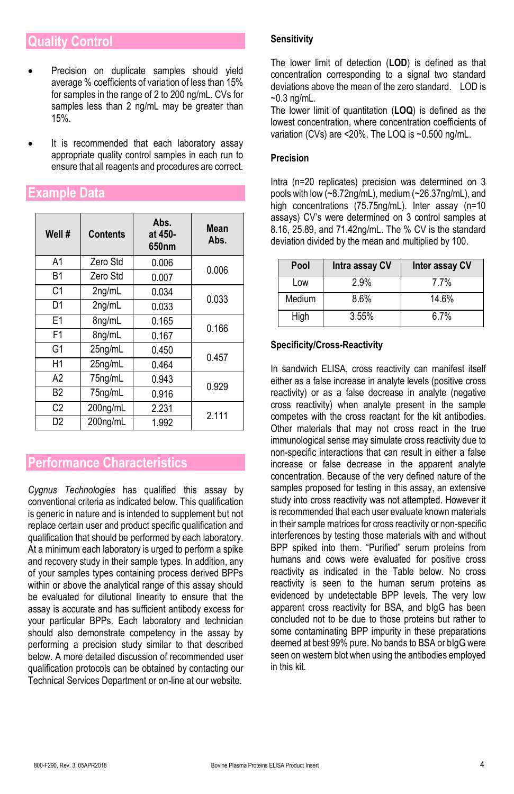### **Quality Control**

- Precision on duplicate samples should yield average % coefficients of variation of less than 15% for samples in the range of 2 to 200 ng/mL. CVs for samples less than 2 ng/mL may be greater than 15%.
- It is recommended that each laboratory assay appropriate quality control samples in each run to ensure that all reagents and procedures are correct.

#### **Example Data**

| Well #         | <b>Contents</b> | Abs.<br>at 450-<br>650 <sub>nm</sub> | Mean<br>Abs. |  |
|----------------|-----------------|--------------------------------------|--------------|--|
| A <sub>1</sub> | Zero Std        | 0.006                                | 0.006        |  |
| B <sub>1</sub> | Zero Std        | 0.007                                |              |  |
| C <sub>1</sub> | 2ng/mL          | 0.034                                | 0.033        |  |
| D <sub>1</sub> | 2ng/mL          | 0.033                                |              |  |
| F <sub>1</sub> | 8ng/mL          | 0.165                                | 0.166        |  |
| F1             | 8ng/mL          | 0.167                                |              |  |
| G <sub>1</sub> | 25ng/mL         | 0.450                                | 0.457        |  |
| H1             | 25ng/mL         | 0.464                                |              |  |
| A2             | 75ng/mL         | 0.943                                | 0.929        |  |
| <b>B2</b>      | 75ng/mL         | 0.916                                |              |  |
| C <sub>2</sub> | 200ng/mL        | 2.231                                | 2.111        |  |
| D <sub>2</sub> | 200ng/mL        | 1.992                                |              |  |

### **Performance Characteristics**

*Cygnus Technologies* has qualified this assay by conventional criteria as indicated below. This qualification is generic in nature and is intended to supplement but not replace certain user and product specific qualification and qualification that should be performed by each laboratory. At a minimum each laboratory is urged to perform a spike and recovery study in their sample types. In addition, any of your samples types containing process derived BPPs within or above the analytical range of this assay should be evaluated for dilutional linearity to ensure that the assay is accurate and has sufficient antibody excess for your particular BPPs. Each laboratory and technician should also demonstrate competency in the assay by performing a precision study similar to that described below. A more detailed discussion of recommended user qualification protocols can be obtained by contacting our Technical Services Department or on-line at our website.

#### **Sensitivity**

The lower limit of detection (**LOD**) is defined as that concentration corresponding to a signal two standard deviations above the mean of the zero standard. LOD is  $-0.3$  ng/mL.

The lower limit of quantitation (**LOQ**) is defined as the lowest concentration, where concentration coefficients of variation (CVs) are <20%. The LOQ is ~0.500 ng/mL.

#### **Precision**

Intra (n=20 replicates) precision was determined on 3 pools with low (~8.72ng/mL), medium (~26.37ng/mL), and high concentrations (75.75ng/mL). Inter assay (n=10 assays) CV's were determined on 3 control samples at 8.16, 25.89, and 71.42ng/mL. The % CV is the standard deviation divided by the mean and multiplied by 100.

| Pool   | Intra assay CV | Inter assay CV |
|--------|----------------|----------------|
| Low    | 2.9%           | 77%            |
| Medium | 8.6%           | 14.6%          |
| High   | 3.55%          | 6.7%           |

#### **Specificity/Cross-Reactivity**

In sandwich ELISA, cross reactivity can manifest itself either as a false increase in analyte levels (positive cross reactivity) or as a false decrease in analyte (negative cross reactivity) when analyte present in the sample competes with the cross reactant for the kit antibodies. Other materials that may not cross react in the true immunological sense may simulate cross reactivity due to non-specific interactions that can result in either a false increase or false decrease in the apparent analyte concentration. Because of the very defined nature of the samples proposed for testing in this assay, an extensive study into cross reactivity was not attempted. However it is recommended that each user evaluate known materials in their sample matrices for cross reactivity or non-specific interferences by testing those materials with and without BPP spiked into them. "Purified" serum proteins from humans and cows were evaluated for positive cross reactivity as indicated in the Table below. No cross reactivity is seen to the human serum proteins as evidenced by undetectable BPP levels. The very low apparent cross reactivity for BSA, and bIgG has been concluded not to be due to those proteins but rather to some contaminating BPP impurity in these preparations deemed at best 99% pure. No bands to BSA or bIgG were seen on western blot when using the antibodies employed in this kit.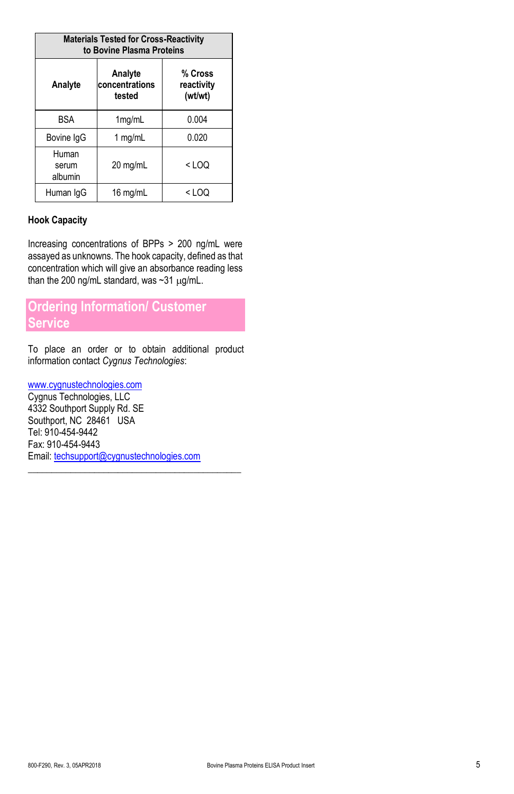| <b>Materials Tested for Cross-Reactivity</b><br>to Bovine Plasma Proteins |                                     |                                  |  |  |
|---------------------------------------------------------------------------|-------------------------------------|----------------------------------|--|--|
| Analyte                                                                   | Analyte<br>concentrations<br>tested | % Cross<br>reactivity<br>(wt/wt) |  |  |
| <b>BSA</b>                                                                | $1$ mg/mL                           | 0.004                            |  |  |
| Bovine IgG                                                                | 1 $mg/mL$                           | 0.020                            |  |  |
| Human<br>serum<br>albumin                                                 | 20 mg/mL                            | $<$ LOO                          |  |  |
| Human IqG                                                                 | 16 $mq/mL$                          | < LOQ                            |  |  |

#### **Hook Capacity**

Increasing concentrations of BPPs > 200 ng/mL were assayed as unknowns. The hook capacity, defined as that concentration which will give an absorbance reading less than the 200 ng/mL standard, was  $\sim$ 31  $\mu$ g/mL.

# **Ordering Information/ Customer Service**

To place an order or to obtain additional product information contact *Cygnus Technologies*:

**\_\_\_\_\_\_\_\_\_\_\_\_\_\_\_\_\_\_\_\_\_\_\_\_\_\_\_\_\_\_\_\_\_\_\_\_\_\_\_\_\_\_\_\_\_**

[www.cygnustechnologies.com](http://www.cygnustechnologies.com/) Cygnus Technologies, LLC 4332 Southport Supply Rd. SE Southport, NC 28461 USA Tel: 910-454-9442 Fax: 910-454-9443 Email[: techsupport@cygnustechnologies.com](mailto:techsupport@cygnustechnologies.com)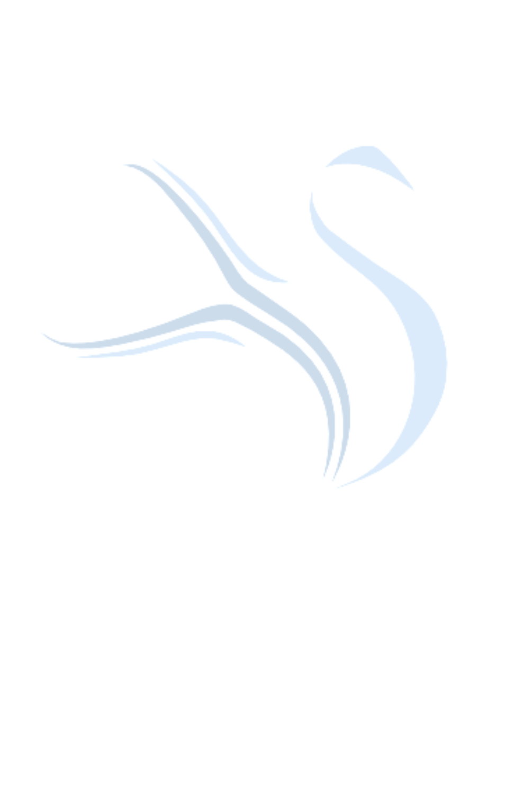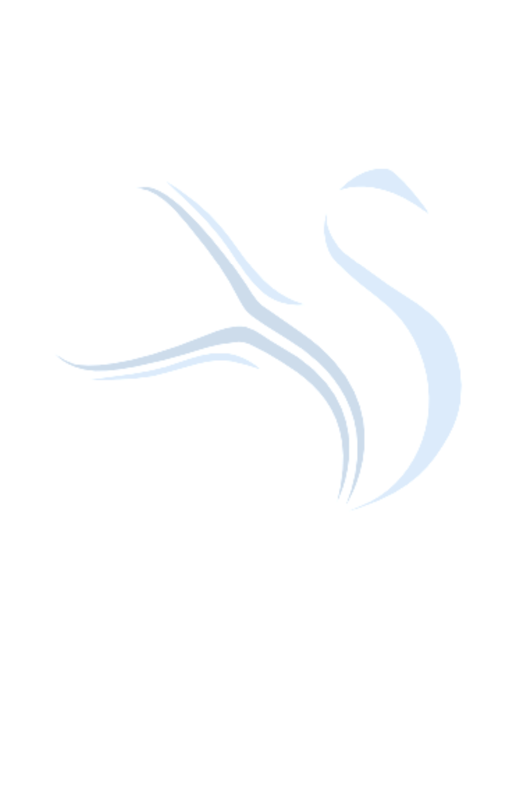